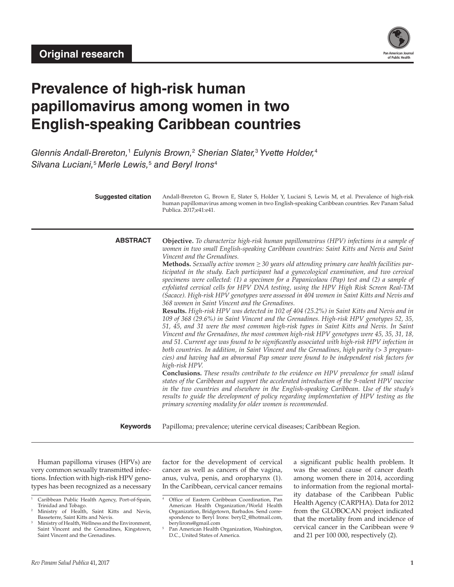

# **Prevalence of high-risk human papillomavirus among women in two English-speaking Caribbean countries**

*Glennis Andall-Brereton,*<sup>1</sup>  *Eulynis Brown,*<sup>2</sup>  *Sherian Slater,*<sup>3</sup>  *Yvette Holder,*<sup>4</sup> *Silvana Luciani,*<sup>5</sup> *Merle Lewis,*<sup>5</sup>  *and Beryl Irons*<sup>4</sup>

| <b>Suggested citation</b> |                 | Andall-Brereton G, Brown E, Slater S, Holder Y, Luciani S, Lewis M, et al. Prevalence of high-risk<br>human papillomavirus among women in two English-speaking Caribbean countries. Rev Panam Salud<br>Publica. 2017;e41:e41.                                                                                                                                                                                                                                                                                                                                                                                                                                                                                                                                                                                                                                                                                                                                                                                                                                                                                                                                                                                                                                                                                                                                                                                                                                                                                                                                                                                                                                                                                                                                                                                                                                                                                     |
|---------------------------|-----------------|-------------------------------------------------------------------------------------------------------------------------------------------------------------------------------------------------------------------------------------------------------------------------------------------------------------------------------------------------------------------------------------------------------------------------------------------------------------------------------------------------------------------------------------------------------------------------------------------------------------------------------------------------------------------------------------------------------------------------------------------------------------------------------------------------------------------------------------------------------------------------------------------------------------------------------------------------------------------------------------------------------------------------------------------------------------------------------------------------------------------------------------------------------------------------------------------------------------------------------------------------------------------------------------------------------------------------------------------------------------------------------------------------------------------------------------------------------------------------------------------------------------------------------------------------------------------------------------------------------------------------------------------------------------------------------------------------------------------------------------------------------------------------------------------------------------------------------------------------------------------------------------------------------------------|
|                           | <b>ABSTRACT</b> | Objective. To characterize high-risk human papillomavirus (HPV) infections in a sample of<br>women in two small English-speaking Caribbean countries: Saint Kitts and Nevis and Saint<br>Vincent and the Grenadines.<br><b>Methods.</b> Sexually active women $\geq$ 30 years old attending primary care health facilities par-<br>ticipated in the study. Each participant had a gynecological examination, and two cervical<br>specimens were collected: (1) a specimen for a Papanicolaou (Pap) test and (2) a sample of<br>exfoliated cervical cells for HPV DNA testing, using the HPV High Risk Screen Real-TM<br>(Sacace). High-risk HPV genotypes were assessed in 404 women in Saint Kitts and Nevis and<br>368 women in Saint Vincent and the Grenadines.<br>Results. High-risk HPV was detected in 102 of 404 (25.2%) in Saint Kitts and Nevis and in<br>109 of 368 (29.6%) in Saint Vincent and the Grenadines. High-risk HPV genotypes 52, 35,<br>51, 45, and 31 were the most common high-risk types in Saint Kitts and Nevis. In Saint<br>Vincent and the Grenadines, the most common high-risk HPV genotypes were 45, 35, 31, 18,<br>and 51. Current age was found to be significantly associated with high-risk HPV infection in<br>both countries. In addition, in Saint Vincent and the Grenadines, high parity (> 3 pregnan-<br>cies) and having had an abnormal Pap smear were found to be independent risk factors for<br>high-risk HPV.<br>Conclusions. These results contribute to the evidence on HPV prevalence for small island<br>states of the Caribbean and support the accelerated introduction of the 9-valent HPV vaccine<br>in the two countries and elsewhere in the English-speaking Caribbean. Use of the study's<br>results to guide the development of policy regarding implementation of HPV testing as the<br>primary screening modality for older women is recommended. |
|                           | <b>Keywords</b> | Papilloma; prevalence; uterine cervical diseases; Caribbean Region.                                                                                                                                                                                                                                                                                                                                                                                                                                                                                                                                                                                                                                                                                                                                                                                                                                                                                                                                                                                                                                                                                                                                                                                                                                                                                                                                                                                                                                                                                                                                                                                                                                                                                                                                                                                                                                               |

Human papilloma viruses (HPVs) are very common sexually transmitted infections. Infection with high-risk HPV genotypes has been recognized as a necessary

factor for the development of cervical cancer as well as cancers of the vagina, anus, vulva, penis, and oropharynx (1). In the Caribbean, cervical cancer remains

a significant public health problem. It was the second cause of cancer death among women there in 2014, according to information from the regional mortality database of the Caribbean Public Health Agency (CARPHA). Data for 2012 from the GLOBOCAN project indicated that the mortality from and incidence of cervical cancer in the Caribbean were 9 and 21 per 100 000, respectively (2).

Caribbean Public Health Agency, Port-of-Spain, Trinidad and Tobago. <sup>2</sup> Ministry of Health, Saint Kitts and Nevis,

Basseterre, Saint Kitts and Nevis.

Ministry of Health, Wellness and the Environment, Saint Vincent and the Grenadines, Kingstown, Saint Vincent and the Grenadines.

<sup>4</sup> Office of Eastern Caribbean Coordination, Pan American Health Organization/World Health Organization, Bridgetown, Barbados. Send correspondence to Beryl Irons: [beryl2\\_@hotmail.com](mailto:beryl2_@hotmail.com), [berylirons@gmail.com](mailto:berylirons@gmail.com)

Pan American Health Organization, Washington, D.C., United States of America.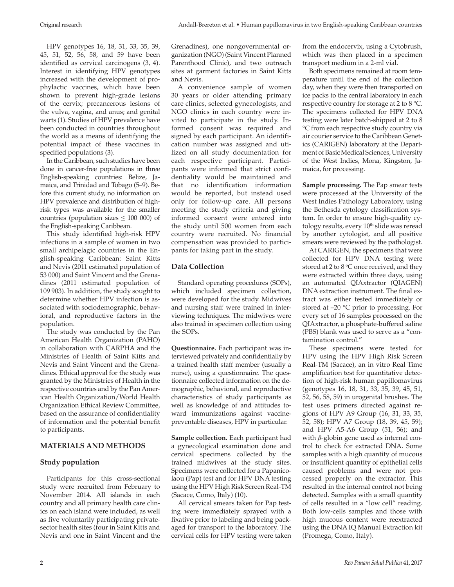HPV genotypes 16, 18, 31, 33, 35, 39, 45, 51, 52, 56, 58, and 59 have been identified as cervical carcinogens (3, 4). Interest in identifying HPV genotypes increased with the development of prophylactic vaccines, which have been shown to prevent high-grade lesions of the cervix; precancerous lesions of the vulva, vagina, and anus; and genital warts (1). Studies of HPV prevalence have been conducted in countries throughout the world as a means of identifying the potential impact of these vaccines in specified populations (3).

In the Caribbean, such studies have been done in cancer-free populations in three English-speaking countries: Belize, Jamaica, and Trinidad and Tobago (5–9). Before this current study, no information on HPV prevalence and distribution of highrisk types was available for the smaller countries (population sizes  $\leq 100000$ ) of the English-speaking Caribbean.

This study identified high-risk HPV infections in a sample of women in two small archipelagic countries in the English-speaking Caribbean: Saint Kitts and Nevis (2011 estimated population of 53 000) and Saint Vincent and the Grenadines (2011 estimated population of 109 903). In addition, the study sought to determine whether HPV infection is associated with sociodemographic, behavioral, and reproductive factors in the population.

The study was conducted by the Pan American Health Organization (PAHO) in collaboration with CARPHA and the Ministries of Health of Saint Kitts and Nevis and Saint Vincent and the Grenadines. Ethical approval for the study was granted by the Ministries of Health in the respective countries and by the Pan American Health Organization/World Health Organization Ethical Review Committee, based on the assurance of confidentiality of information and the potential benefit to participants.

## **MATERIALS AND METHODS**

## **Study population**

Participants for this cross-sectional study were recruited from February to November 2014. All islands in each country and all primary health care clinics on each island were included, as well as five voluntarily participating privatesector health sites (four in Saint Kitts and Nevis and one in Saint Vincent and the

Grenadines), one nongovernmental organization (NGO) (Saint Vincent Planned Parenthood Clinic), and two outreach sites at garment factories in Saint Kitts and Nevis.

A convenience sample of women 30 years or older attending primary care clinics, selected gynecologists, and NGO clinics in each country were invited to participate in the study. Informed consent was required and signed by each participant. An identification number was assigned and utilized on all study documentation for each respective participant. Participants were informed that strict confidentiality would be maintained and that no identification information would be reported, but instead used only for follow-up care. All persons meeting the study criteria and giving informed consent were entered into the study until 500 women from each country were recruited. No financial compensation was provided to participants for taking part in the study.

#### **Data Collection**

Standard operating procedures (SOPs), which included specimen collection, were developed for the study. Midwives and nursing staff were trained in interviewing techniques. The midwives were also trained in specimen collection using the SOPs.

**Questionnaire.** Each participant was interviewed privately and confidentially by a trained health staff member (usually a nurse), using a questionnaire. The questionnaire collected information on the demographic, behavioral, and reproductive characteristics of study participants as well as knowledge of and attitudes toward immunizations against vaccinepreventable diseases, HPV in particular.

**Sample collection.** Each participant had a gynecological examination done and cervical specimens collected by the trained midwives at the study sites. Specimens were collected for a Papanicolaou (Pap) test and for HPV DNA testing using the HPV High Risk Screen Real-TM (Sacace, Como, Italy) (10).

All cervical smears taken for Pap testing were immediately sprayed with a fixative prior to labeling and being packaged for transport to the laboratory. The cervical cells for HPV testing were taken

from the endocervix, using a Cytobrush, which was then placed in a specimen transport medium in a 2-ml vial.

Both specimens remained at room temperature until the end of the collection day, when they were then transported on ice packs to the central laboratory in each respective country for storage at 2 to 8 °C. The specimens collected for HPV DNA testing were later batch-shipped at 2 to 8 °C from each respective study country via air courier service to the Caribbean Genetics (CARIGEN) laboratory at the Department of Basic Medical Sciences, University of the West Indies, Mona, Kingston, Jamaica, for processing.

**Sample processing.** The Pap smear tests were processed at the University of the West Indies Pathology Laboratory, using the Bethesda cytology classification system. In order to ensure high-quality cytology results, every 10<sup>th</sup> slide was reread by another cytologist, and all positive smears were reviewed by the pathologist.

At CARIGEN, the specimens that were collected for HPV DNA testing were stored at  $2$  to  $8 °C$  once received, and they were extracted within three days, using an automated QIAxtractor (QIAGEN) DNA extraction instrument. The final extract was either tested immediately or stored at –20 °C prior to processing. For every set of 16 samples processed on the QIAxtractor, a phosphate-buffered saline (PBS) blank was used to serve as a "contamination control."

These specimens were tested for HPV using the HPV High Risk Screen Real-TM (Sacace), an in vitro Real Time amplification test for quantitative detection of high-risk human papillomavirus (genotypes 16, 18, 31, 33, 35, 39, 45, 51, 52, 56, 58, 59) in urogenital brushes. The test uses primers directed against regions of HPV A9 Group (16, 31, 33, 35, 52, 58); HPV A7 Group (18, 39, 45, 59); and HPV A5-A6 Group (51, 56); and with *β*-globin gene used as internal control to check for extracted DNA. Some samples with a high quantity of mucous or insufficient quantity of epithelial cells caused problems and were not processed properly on the extractor. This resulted in the internal control not being detected. Samples with a small quantity of cells resulted in a "low cell" reading. Both low-cells samples and those with high mucous content were reextracted using the DNA IQ Manual Extraction kit (Promega, Como, Italy).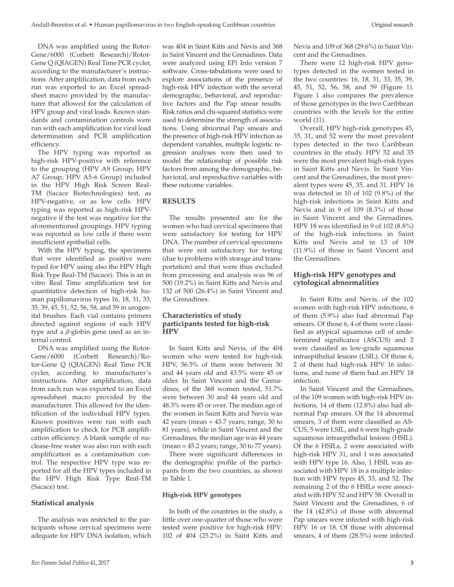DNA was amplified using the Rotor-Gene/6000 (Corbett Research)/Rotor-Gene Q (QIAGEN) Real Time PCR cycler, according to the manufacturer's instructions. After amplification, data from each run was exported to an Excel spreadsheet macro provided by the manufacturer that allowed for the calculation of HPV group and viral loads. Known standards and contamination controls were run with each amplification for viral load determination and PCR amplification efficiency.

The HPV typing was reported as high-risk HPV-positive with reference to the grouping (HPV A9 Group; HPV A7 Group; HPV A5-6 Group) included in the HPV High Risk Screen Real-TM (Sacace Biotechnologies) test, as HPV-negative, or as low cells. HPV typing was reported as high-risk HPVnegative if the test was negative for the aforementioned groupings. HPV typing was reported as low cells if there were insufficient epithelial cells.

With the HPV typing, the specimens that were identified as positive were typed for HPV using also the HPV High Risk Type Real-TM (Sacace). This is an in vitro Real Time amplification test for quantitative detection of high-risk human papillomavirus types 16, 18, 31, 33, 35, 39, 45, 51, 52, 56, 58, and 59 in urogenital brushes. Each vial contains primers directed against regions of each HPV type and a *β*-globin gene used as an internal control.

DNA was amplified using the Rotor-Gene/6000 (Corbett Research)/Rotor-Gene Q (QIAGEN) Real Time PCR cycler, according to manufacturer's instructions. After amplification, data from each run was exported to an Excel spreadsheet macro provided by the manufacturer. This allowed for the identification of the individual HPV types. Known positives were run with each amplification to check for PCR amplification efficiency. A blank sample of nuclease-free water was also run with each amplification as a contamination control. The respective HPV type was reported for all the HPV types included in the HPV High Risk Type Real-TM (Sacace) test.

# **Statistical analysis**

The analysis was restricted to the participants whose cervical specimens were adequate for HPV DNA isolation, which

was 404 in Saint Kitts and Nevis and 368 in Saint Vincent and the Grenadines. Data were analyzed using EPi Info version 7 software. Cross-tabulations were used to explore associations of the presence of high-risk HPV infection with the several demographic, behavioral, and reproductive factors and the Pap smear results. Risk ratios and chi-squared statistics were used to determine the strength of associations. Using abnormal Pap smears and the presence of high-risk HPV infection as dependent variables, multiple logistic regression analyses were then used to model the relationship of possible risk factors from among the demographic, behavioral, and reproductive variables with these outcome variables.

# **RESULTS**

The results presented are for the women who had cervical specimens that were satisfactory for testing for HPV DNA. The number of cervical specimens that were not satisfactory for testing (due to problems with storage and transportation) and that were thus excluded from processing and analysis was 96 of 500 (19.2%) in Saint Kitts and Nevis and 132 of 500 (26.4%) in Saint Vincent and the Grenadines.

#### **Characteristics of study participants tested for high-risk HPV**

In Saint Kitts and Nevis, of the 404 women who were tested for high-risk HPV, 56.5% of them were between 30 and 44 years old and 43.5% were 45 or older. In Saint Vincent and the Grenadines, of the 368 women tested, 51.7% were between 30 and 44 years old and 48.3% were 45 or over. The median age of the women in Saint Kitts and Nevis was 42 years (mean  $=$  43.7 years; range, 30 to 81 years), while in Saint Vincent and the Grenadines, the median age was 44 years  $(mean = 45.2 \text{ years}; range, 30 \text{ to } 77 \text{ years}).$ 

There were significant differences in the demographic profile of the participants from the two countries, as shown in Table 1.

## **High-risk HPV genotypes**

In both of the countries in the study, a little over one-quarter of those who were tested were positive for high-risk HPV: 102 of 404 (25.2%) in Saint Kitts and Nevis and 109 of 368 (29.6%) in Saint Vincent and the Grenadines.

There were 12 high-risk HPV genotypes detected in the women tested in the two countries: 16, 18, 31, 33, 35, 39, 45, 51, 52, 56, 58, and 59 (Figure 1). Figure 1 also compares the prevalence of those genotypes in the two Caribbean countries with the levels for the entire world (11).

Overall, HPV high-risk genotypes 45, 35, 31, and 52 were the most prevalent types detected in the two Caribbean countries in the study. HPV 52 and 35 were the most prevalent high-risk types in Saint Kitts and Nevis. In Saint Vincent and the Grenadines, the most prevalent types were 45, 35, and 31. HPV 16 was detected in 10 of 102 (9.8%) of the high-risk infections in Saint Kitts and Nevis and in 9 of 109 (8.3%) of those in Saint Vincent and the Grenadines. HPV 18 was identified in 9 of 102 (8.8%) of the high-risk infections in Saint Kitts and Nevis and in 13 of 109 (11.9%) of those in Saint Vincent and the Grenadines.

# **High-risk HPV genotypes and cytological abnormalities**

In Saint Kitts and Nevis, of the 102 women with high-risk HPV infections, 6 of them (5.9%) also had abnormal Pap smears. Of those 6, 4 of them were classified as atypical squamous cell of undetermined significance (ASCUS) and 2 were classified as low-grade squamous intraepithelial lesions (LSIL). Of those 6, 2 of them had high-risk HPV 16 infections, and none of them had an HPV 18 infection.

In Saint Vincent and the Grenadines, of the 109 women with high-risk HPV infections, 14 of them (12.8%) also had abnormal Pap smears. Of the 14 abnormal smears, 3 of them were classified as AS-CUS, 5 were LSIL, and 6 were high-grade squamous intraepithelial lesions (HSIL). Of the 6 HSILs, 2 were associated with high-risk HPV 31, and 1 was associated with HPV type 16. Also, 1 HSIL was associated with HPV 18 in a multiple infection with HPV types 45, 33, and 52. The remaining 2 of the 6 HSILs were associated with HPV 52 and HPV 58. Overall in Saint Vincent and the Grenadines, 6 of the 14 (42.8%) of those with abnormal Pap smears were infected with high-risk HPV 16 or 18. Of those with abnormal smears, 4 of them (28.5%) were infected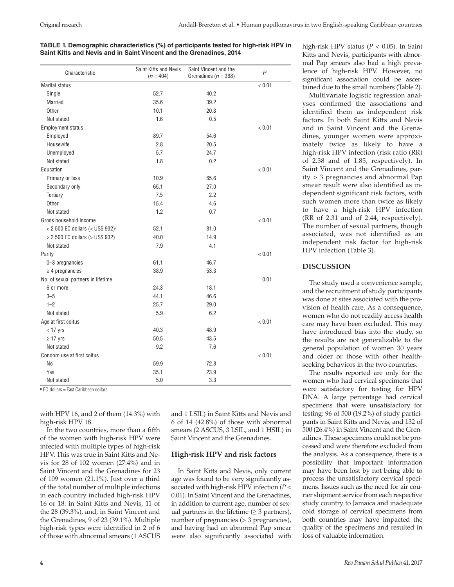# **TABLE 1. Demographic characteristics (%) of participants tested for high-risk HPV in Saint Kitts and Nevis and in Saint Vincent and the Grenadines, 2014**

| Characteristic                               | Saint Kitts and Nevis<br>$(n = 404)$ | Saint Vincent and the<br>Grenadines ( $n = 368$ ) | $\mathsf{P}$ |  |
|----------------------------------------------|--------------------------------------|---------------------------------------------------|--------------|--|
| <b>Marital status</b>                        |                                      |                                                   | < 0.01       |  |
| Single                                       | 52.7                                 | 40.2                                              |              |  |
| <b>Married</b>                               | 35.6                                 | 39.2                                              |              |  |
| Other                                        | 10.1                                 | 20.3                                              |              |  |
| Not stated                                   | 1.6                                  | 0.5                                               |              |  |
| <b>Employment status</b>                     |                                      |                                                   | < 0.01       |  |
| Employed                                     | 89.7                                 | 54.6                                              |              |  |
| Housewife                                    | 2.8                                  | 20.5                                              |              |  |
| Unemployed                                   | 5.7                                  | 24.7                                              |              |  |
| Not stated                                   | 1.8                                  | 0.2                                               |              |  |
| Education                                    |                                      |                                                   | < 0.01       |  |
| Primary or less                              | 10.9                                 | 65.6                                              |              |  |
| Secondary only                               | 65.1                                 | 27.0                                              |              |  |
| Tertiary                                     | 7.5                                  | 2.2                                               |              |  |
| Other                                        | 15.4                                 | 4.6                                               |              |  |
| Not stated                                   | 1.2                                  | 0.7                                               |              |  |
| Gross household income                       |                                      |                                                   | < 0.01       |  |
| < 2 500 EC dollars (< US\$ 932) <sup>a</sup> | 52.1                                 | 81.0                                              |              |  |
| > 2 500 EC dollars (> US\$ 932)              | 40.0                                 | 14.9                                              |              |  |
| Not stated                                   | 7.9                                  | 4.1                                               |              |  |
| Parity                                       |                                      |                                                   | < 0.01       |  |
| 0-3 pregnancies                              | 61.1                                 | 46.7                                              |              |  |
| $\geq$ 4 pregnancies                         | 38.9                                 | 53.3                                              |              |  |
| No. of sexual partners in lifetime           |                                      |                                                   | 0.01         |  |
| 6 or more                                    | 24.3                                 | 18.1                                              |              |  |
| $3 - 5$                                      | 44.1                                 | 46.6                                              |              |  |
| $1 - 2$                                      | 25.7                                 | 29.0                                              |              |  |
| Not stated                                   | 5.9                                  | 6.2                                               |              |  |
| Age at first coitus                          |                                      |                                                   | < 0.01       |  |
| $<$ 17 yrs                                   | 40.3                                 | 48.9                                              |              |  |
| $\geq$ 17 yrs                                | 50.5                                 | 43.5                                              |              |  |
| Not stated                                   | 9.2                                  | 7.6                                               |              |  |
| Condom use at first coitus                   |                                      |                                                   | < 0.01       |  |
| No                                           | 59.9                                 | 72.8                                              |              |  |
| Yes                                          | 35.1                                 | 23.9                                              |              |  |
| Not stated                                   | 5.0                                  | 3.3                                               |              |  |

**<sup>a</sup>** EC dollars = East Caribbean dollars.

with HPV 16, and 2 of them (14.3%) with high-risk HPV 18.

In the two countries, more than a fifth of the women with high-risk HPV were infected with multiple types of high-risk HPV. This was true in Saint Kitts and Nevis for 28 of 102 women (27.4%) and in Saint Vincent and the Grenadines for 23 of 109 women (21.1%). Just over a third of the total number of multiple infections in each country included high-risk HPV 16 or 18: in Saint Kitts and Nevis, 11 of the 28 (39.3%), and, in Saint Vincent and the Grenadines, 9 of 23 (39.1%). Multiple high-risk types were identified in 2 of 6 of those with abnormal smears (1 ASCUS

and 1 LSIL) in Saint Kitts and Nevis and 6 of 14 (42.8%) of those with abnormal smears (2 ASCUS, 3 LSIL, and 1 HSIL) in Saint Vincent and the Grenadines.

## **High-risk HPV and risk factors**

In Saint Kitts and Nevis, only current age was found to be very significantly associated with high-risk HPV infection (*P* < 0.01). In Saint Vincent and the Grenadines, in addition to current age, number of sexual partners in the lifetime  $(\geq 3$  partners), number of pregnancies (> 3 pregnancies), and having had an abnormal Pap smear were also significantly associated with

high-risk HPV status (*P* < 0.05). In Saint Kitts and Nevis, participants with abnormal Pap smears also had a high prevalence of high-risk HPV. However, no significant association could be ascertained due to the small numbers (Table 2).

Multivariate logistic regression analyses confirmed the associations and identified them as independent risk factors. In both Saint Kitts and Nevis and in Saint Vincent and the Grenadines, younger women were approximately twice as likely to have a high-risk HPV infection (risk ratio (RR) of 2.38 and of 1.85, respectively). In Saint Vincent and the Grenadines, parity > 3 pregnancies and abnormal Pap smear result were also identified as independent significant risk factors, with such women more than twice as likely to have a high-risk HPV infection (RR of 2.31 and of 2.44, respectively). The number of sexual partners, though associated, was not identified as an independent risk factor for high-risk HPV infection (Table 3).

# **DISCUSSION**

The study used a convenience sample, and the recruitment of study participants was done at sites associated with the provision of health care. As a consequence, women who do not readily access health care may have been excluded. This may have introduced bias into the study, so the results are not generalizable to the general population of women 30 years and older or those with other healthseeking behaviors in the two countries.

The results reported are only for the women who had cervical specimens that were satisfactory for testing for HPV DNA. A large percentage had cervical specimens that were unsatisfactory for testing: 96 of 500 (19.2%) of study participants in Saint Kitts and Nevis, and 132 of 500 (26.4%) in Saint Vincent and the Grenadines. These specimens could not be processed and were therefore excluded from the analysis. As a consequence, there is a possibility that important information may have been lost by not being able to process the unsatisfactory cervical specimens. Issues such as the need for air courier shipment service from each respective study country to Jamaica and inadequate cold storage of cervical specimens from both countries may have impacted the quality of the specimens and resulted in loss of valuable information.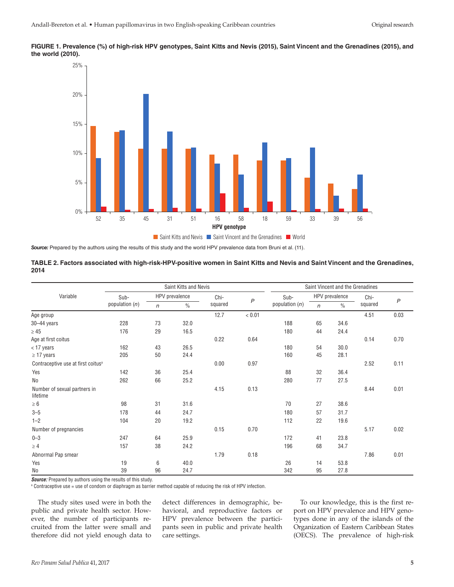



*Source:* Prepared by the authors using the results of this study and the world HPV prevalence data from Bruni et al. (11).

#### **TABLE 2. Factors associated with high-risk-HPV-positive women in Saint Kitts and Nevis and Saint Vincent and the Grenadines, 2014**

|                                                | Saint Kitts and Nevis  |              |               |         |              | Saint Vincent and the Grenadines |              |               |         |                |
|------------------------------------------------|------------------------|--------------|---------------|---------|--------------|----------------------------------|--------------|---------------|---------|----------------|
| Variable                                       | HPV prevalence<br>Sub- |              | Chi-          |         | Sub-         | HPV prevalence                   |              | Chi-          |         |                |
|                                                | population $(n)$       | $\mathsf{n}$ | $\frac{0}{0}$ | squared | $\mathsf{P}$ | population $(n)$                 | $\mathsf{n}$ | $\frac{0}{0}$ | squared | $\overline{P}$ |
| Age group                                      |                        |              |               | 12.7    | < 0.01       |                                  |              |               | 4.51    | 0.03           |
| $30 - 44$ years                                | 228                    | 73           | 32.0          |         |              | 188                              | 65           | 34.6          |         |                |
| $\geq 45$                                      | 176                    | 29           | 16.5          |         |              | 180                              | 44           | 24.4          |         |                |
| Age at first coitus                            |                        |              |               | 0.22    | 0.64         |                                  |              |               | 0.14    | 0.70           |
| $<$ 17 years                                   | 162                    | 43           | 26.5          |         |              | 180                              | 54           | 30.0          |         |                |
| $\geq$ 17 years                                | 205                    | 50           | 24.4          |         |              | 160                              | 45           | 28.1          |         |                |
| Contraceptive use at first coitus <sup>a</sup> |                        |              |               | 0.00    | 0.97         |                                  |              |               | 2.52    | 0.11           |
| Yes                                            | 142                    | 36           | 25.4          |         |              | 88                               | 32           | 36.4          |         |                |
| No                                             | 262                    | 66           | 25.2          |         |              | 280                              | 77           | 27.5          |         |                |
| Number of sexual partners in<br>lifetime       |                        |              |               | 4.15    | 0.13         |                                  |              |               | 8.44    | 0.01           |
| $\geq 6$                                       | 98                     | 31           | 31.6          |         |              | 70                               | 27           | 38.6          |         |                |
| $3 - 5$                                        | 178                    | 44           | 24.7          |         |              | 180                              | 57           | 31.7          |         |                |
| $1 - 2$                                        | 104                    | 20           | 19.2          |         |              | 112                              | 22           | 19.6          |         |                |
| Number of pregnancies                          |                        |              |               | 0.15    | 0.70         |                                  |              |               | 5.17    | 0.02           |
| $0 - 3$                                        | 247                    | 64           | 25.9          |         |              | 172                              | 41           | 23.8          |         |                |
| $\geq 4$                                       | 157                    | 38           | 24.2          |         |              | 196                              | 68           | 34.7          |         |                |
| Abnormal Pap smear                             |                        |              |               | 1.79    | 0.18         |                                  |              |               | 7.86    | 0.01           |
| Yes                                            | 19                     | 6            | 40.0          |         |              | 26                               | 14           | 53.8          |         |                |
| <b>No</b>                                      | 39                     | 96           | 24.7          |         |              | 342                              | 95           | 27.8          |         |                |

**Source:** Prepared by authors using the results of this study.

a Contraceptive use = use of condom or diaphragm as barrier method capable of reducing the risk of HPV infection.

The study sites used were in both the public and private health sector. However, the number of participants recruited from the latter were small and therefore did not yield enough data to detect differences in demographic, behavioral, and reproductive factors or HPV prevalence between the participants seen in public and private health care settings.

To our knowledge, this is the first report on HPV prevalence and HPV genotypes done in any of the islands of the Organization of Eastern Caribbean States (OECS). The prevalence of high-risk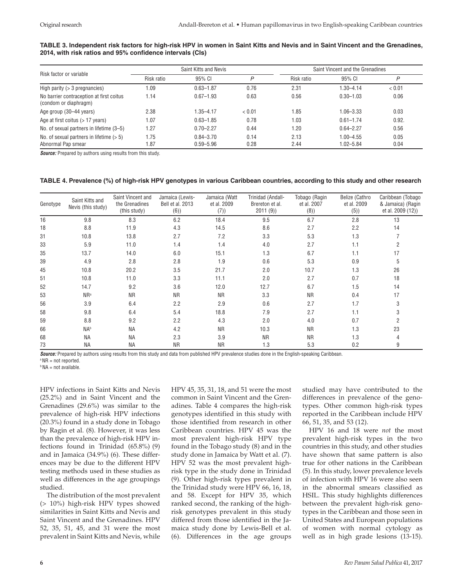#### **TABLE 3. Independent risk factors for high-risk HPV in women in Saint Kitts and Nevis and in Saint Vincent and the Grenadines, 2014, with risk ratios and 95% confidence intervals (CIs)**

| Risk factor or variable                                           |            | Saint Kitts and Nevis |        |            | Saint Vincent and the Grenadines |        |  |  |
|-------------------------------------------------------------------|------------|-----------------------|--------|------------|----------------------------------|--------|--|--|
|                                                                   | Risk ratio | 95% CI                | D      | Risk ratio | 95% CI                           | P      |  |  |
| High parity $(> 3$ pregnancies)                                   | 09. ا      | $0.63 - 1.87$         | 0.76   | 2.31       | 1.30-4.14                        | < 0.01 |  |  |
| No barrier contraception at first coitus<br>(condom or diaphragm) | 1.14       | $0.67 - 1.93$         | 0.63   | 0.56       | $0.30 - 1.03$                    | 0.06   |  |  |
| Age group (30–44 years)                                           | 2.38       | 1.35–4.17             | < 0.01 | 1.85       | $1.06 - 3.33$                    | 0.03   |  |  |
| Age at first coitus $($ > 17 years)                               | 1.07       | $0.63 - 1.85$         | 0.78   | 1.03       | $0.61 - 1.74$                    | 0.92.  |  |  |
| No. of sexual partners in lifetime (3-5)                          | 1.27       | $0.70 - 2.27$         | 0.44   | 1.20       | $0.64 - 2.27$                    | 0.56   |  |  |
| No. of sexual partners in lifetime $(>5)$                         | 1.75       | $0.84 - 3.70$         | 0.14   | 2.13       | $1.00 - 4.55$                    | 0.05   |  |  |
| Abnormal Pap smear                                                | .87        | $0.59 - 5.96$         | 0.28   | 2.44       | $1.02 - 5.84$                    | 0.04   |  |  |

*Source:* Prepared by authors using results from this study.

#### **TABLE 4. Prevalence (%) of high-risk HPV genotypes in various Caribbean countries, according to this study and other research**

| Genotype | Saint Kitts and<br>Nevis (this study) | Saint Vincent and<br>the Grenadines<br>(this study) | Jamaica (Lewis-<br>Bell et al. 2013<br>(6) | Jamaica (Watt<br>et al. 2009<br>(7)) | Trinidad (Andall-<br>Brereton et al.<br>2011(9) | Tobago (Ragin<br>et al. 2007<br>(8) | Belize (Cathro<br>et al. 2009<br>(5) | Caribbean (Tobago<br>& Jamaica) (Ragin<br>et al. 2009 (12)) |
|----------|---------------------------------------|-----------------------------------------------------|--------------------------------------------|--------------------------------------|-------------------------------------------------|-------------------------------------|--------------------------------------|-------------------------------------------------------------|
| 16       | 9.8                                   | 8.3                                                 | 6.2                                        | 18.4                                 | 9.5                                             | 6.7                                 | 2.8                                  | 13                                                          |
| 18       | 8.8                                   | 11.9                                                | 4.3                                        | 14.5                                 | 8.6                                             | 2.7                                 | 2.2                                  | 14                                                          |
| 31       | 10.8                                  | 13.8                                                | 2.7                                        | 7.2                                  | 3.3                                             | 5.3                                 | 1.3                                  |                                                             |
| 33       | 5.9                                   | 11.0                                                | 1.4                                        | 1.4                                  | 4.0                                             | 2.7                                 | 1.1                                  | 2                                                           |
| 35       | 13.7                                  | 14.0                                                | 6.0                                        | 15.1                                 | 1.3                                             | 6.7                                 | 1.1                                  | 17                                                          |
| 39       | 4.9                                   | 2.8                                                 | 2.8                                        | 1.9                                  | 0.6                                             | 5.3                                 | 0.9                                  | 5                                                           |
| 45       | 10.8                                  | 20.2                                                | 3.5                                        | 21.7                                 | 2.0                                             | 10.7                                | 1.3                                  | 26                                                          |
| 51       | 10.8                                  | 11.0                                                | 3.3                                        | 11.1                                 | 2.0                                             | 2.7                                 | 0.7                                  | 18                                                          |
| 52       | 14.7                                  | 9.2                                                 | 3.6                                        | 12.0                                 | 12.7                                            | 6.7                                 | 1.5                                  | 14                                                          |
| 53       | $NR^a$                                | <b>NR</b>                                           | <b>NR</b>                                  | <b>NR</b>                            | 3.3                                             | <b>NR</b>                           | 0.4                                  | 17                                                          |
| 56       | 3.9                                   | 6.4                                                 | 2.2                                        | 2.9                                  | 0.6                                             | 2.7                                 | 1.7                                  | 3                                                           |
| 58       | 9.8                                   | 6.4                                                 | 5.4                                        | 18.8                                 | 7.9                                             | 2.7                                 | 1.1                                  | 3                                                           |
| 59       | 8.8                                   | 9.2                                                 | 2.2                                        | 4.3                                  | 2.0                                             | 4.0                                 | 0.7                                  | 2                                                           |
| 66       | <b>NAb</b>                            | <b>NA</b>                                           | 4.2                                        | <b>NR</b>                            | 10.3                                            | <b>NR</b>                           | 1.3                                  | 23                                                          |
| 68       | <b>NA</b>                             | <b>NA</b>                                           | 2.3                                        | 3.9                                  | <b>NR</b>                                       | <b>NR</b>                           | 1.3                                  | 4                                                           |
| 73       | <b>NA</b>                             | <b>NA</b>                                           | <b>NR</b>                                  | <b>NR</b>                            | 1.3                                             | 5.3                                 | 0.2                                  | 9                                                           |

*Source:* Prepared by authors using results from this study and data from published HPV prevalence studies done in the English-speaking Caribbean.

 $^{\circ}$  NR = not reported.

 $b$  NA = not available.

HPV infections in Saint Kitts and Nevis (25.2%) and in Saint Vincent and the Grenadines (29.6%) was similar to the prevalence of high-risk HPV infections (20.3%) found in a study done in Tobago by Ragin et al. (8). However, it was less than the prevalence of high-risk HPV infections found in Trinidad (65.8%) (9) and in Jamaica (34.9%) (6). These differences may be due to the different HPV testing methods used in these studies as well as differences in the age groupings studied.

The distribution of the most prevalent (> 10%) high-risk HPV types showed similarities in Saint Kitts and Nevis and Saint Vincent and the Grenadines. HPV 52, 35, 51, 45, and 31 were the most prevalent in Saint Kitts and Nevis, while

HPV 45, 35, 31, 18, and 51 were the most common in Saint Vincent and the Grenadines. Table 4 compares the high-risk genotypes identified in this study with those identified from research in other Caribbean countries. HPV 45 was the most prevalent high-risk HPV type found in the Tobago study (8) and in the study done in Jamaica by Watt et al. (7). HPV 52 was the most prevalent highrisk type in the study done in Trinidad (9). Other high-risk types prevalent in the Trinidad study were HPV 66, 16, 18, and 58. Except for HPV 35, which ranked second, the ranking of the highrisk genotypes prevalent in this study differed from those identified in the Jamaica study done by Lewis-Bell et al. (6). Differences in the age groups

studied may have contributed to the differences in prevalence of the genotypes. Other common high-risk types reported in the Caribbean include HPV 66, 51, 35, and 53 (12).

HPV 16 and 18 were *not* the most prevalent high-risk types in the two countries in this study, and other studies have shown that same pattern is also true for other nations in the Caribbean (5). In this study, lower prevalence levels of infection with HPV 16 were also seen in the abnormal smears classified as HSIL. This study highlights differences between the prevalent high-risk genotypes in the Caribbean and those seen in United States and European populations of women with normal cytology as well as in high grade lesions (13-15).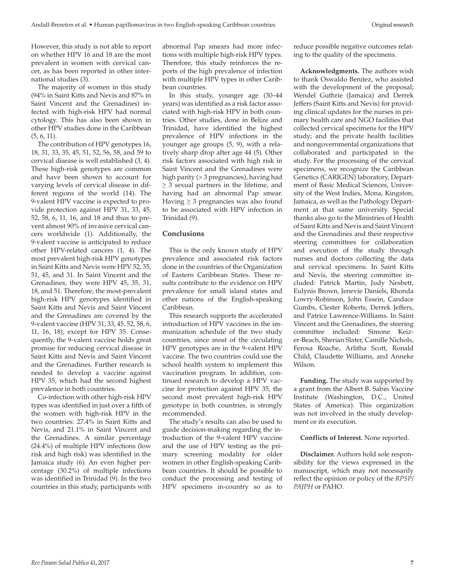However, this study is not able to report on whether HPV 16 and 18 are the most prevalent in women with cervical cancer, as has been reported in other international studies (3).

The majority of women in this study (94% in Saint Kitts and Nevis and 87% in Saint Vincent and the Grenadines) infected with high-risk HPV had normal cytology. This has also been shown in other HPV studies done in the Caribbean (5, 6, 11).

The contribution of HPV genotypes 16, 18, 31, 33, 35, 45, 51, 52, 56, 58, and 59 to cervical disease is well established (3, 4). These high-risk genotypes are common and have been shown to account for varying levels of cervical disease in different regions of the world (14). The 9-valent HPV vaccine is expected to provide protection against HPV 31, 33, 45, 52, 58, 6, 11, 16, and 18 and thus to prevent almost 90% of invasive cervical cancers worldwide (1). Additionally, the 9-valent vaccine is anticipated to reduce other HPV-related cancers (1, 4). The most prevalent high-risk HPV genotypes in Saint Kitts and Nevis were HPV 52, 35, 51, 45, and 31. In Saint Vincent and the Grenadines, they were HPV 45, 35, 31, 18, and 51. Therefore, the most-prevalent high-risk HPV genotypes identified in Saint Kitts and Nevis and Saint Vincent and the Grenadines are covered by the 9-valent vaccine (HPV 31, 33, 45, 52, 58, 6, 11, 16, 18), except for HPV 35. Consequently, the 9-valent vaccine holds great promise for reducing cervical disease in Saint Kitts and Nevis and Saint Vincent and the Grenadines. Further research is needed to develop a vaccine against HPV 35, which had the second highest prevalence in both countries.

Co-infection with other high-risk HPV types was identified in just over a fifth of the women with high-risk HPV in the two countries: 27.4% in Saint Kitts and Nevis, and 21.1% in Saint Vincent and the Grenadines. A similar percentage (24.4%) of multiple HPV infections (low risk and high risk) was identified in the Jamaica study (6). An even higher percentage (30.2%) of multiple infections was identified in Trinidad (9). In the two countries in this study, participants with

abnormal Pap smears had more infections with multiple high-risk HPV types. Therefore, this study reinforces the reports of the high prevalence of infection with multiple HPV types in other Caribbean countries.

In this study, younger age (30–44 years) was identified as a risk factor associated with high-risk HPV in both countries. Other studies, done in Belize and Trinidad, have identified the highest prevalence of HPV infections in the younger age groups (5, 9), with a relatively sharp drop after age 44 (5). Other risk factors associated with high risk in Saint Vincent and the Grenadines were high parity (> 3 pregnancies), having had  $\geq$  3 sexual partners in the lifetime, and having had an abnormal Pap smear. Having  $\geq$  3 pregnancies was also found to be associated with HPV infection in Trinidad (9).

#### **Conclusions**

This is the only known study of HPV prevalence and associated risk factors done in the countries of the Organization of Eastern Caribbean States. These results contribute to the evidence on HPV prevalence for small island states and other nations of the English-speaking Caribbean.

This research supports the accelerated introduction of HPV vaccines in the immunization schedule of the two study countries, since most of the circulating HPV genotypes are in the 9-valent HPV vaccine. The two countries could use the school health system to implement this vaccination program. In addition, continued research to develop a HPV vaccine for protection against HPV 35, the second most prevalent high-risk HPV genotype in both countries, is strongly recommended.

The study's results can also be used to guide decision-making regarding the introduction of the 9-valent HPV vaccine and the use of HPV testing as the primary screening modality for older women in other English-speaking Caribbean countries. It should be possible to conduct the processing and testing of HPV specimens in-country so as to

reduce possible negative outcomes relating to the quality of the specimens.

**Acknowledgments.** The authors wish to thank Oswaldo Benitez, who assisted with the development of the proposal; Wendel Guthrie (Jamaica) and Derrek Jeffers (Saint Kitts and Nevis) for providing clinical updates for the nurses in primary health care and NGO facilities that collected cervical specimens for the HPV study; and the private health facilities and nongovernmental organizations that collaborated and participated in the study. For the processing of the cervical specimens, we recognize the Caribbean Genetics (CARIGEN) laboratory, Department of Basic Medical Sciences, University of the West Indies, Mona, Kingston, Jamaica, as well as the Pathology Department at that same university. Special thanks also go to the Ministries of Health of Saint Kitts and Nevis and Saint Vincent and the Grenadines and their respective steering committees for collaboration and execution of the study through nurses and doctors collecting the data and cervical specimens. In Saint Kitts and Nevis, the steering committee included: Patrick Martin, Judy Nesbett, Eulynis Brown, Jenevie Daniels, Rhonda Lowry-Robinson, John Essein, Candace Gumbs, Clester Roberts, Derrek Jeffers, and Patrice Lawrence-Williams. In Saint Vincent and the Grenadines, the steering committee included: Simone Keizer-Beach, Sherian Slater, Camille Nichols, Ferosa Roache, Arlitha Scott, Ronald Child, Claudette Williams, and Anneke Wilson.

**Funding.** The study was supported by a grant from the Albert B. Sabin Vaccine Institute (Washington, D.C., United States of America). This organization was not involved in the study development or its execution.

#### **Conflicts of Interest.** None reported.

**Disclaimer.** Authors hold sole responsibility for the views expressed in the manuscript, which may not necessarily reflect the opinion or policy of the *RPSP/ PAJPH* or PAHO.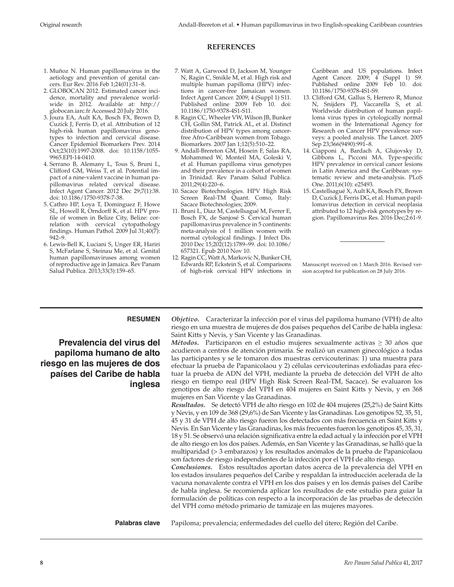## **REFERENCES**

- 1. Muñoz N. Human papillomavirus in the aetiology and prevention of genital cancers. Eur Rev. 2016 Feb 1;24(01):31–8.
- 2. GLOBOCAN 2012. Estimated cancer incidence, mortality and prevalence worldwide in 2012. Available at: [http://](http://globocan.iarc.fr) [globocan.iarc.fr](http://globocan.iarc.fr) Accessed 20 July 2016.
- 3. Joura EA, Ault KA, Bosch FX, Brown D, Cuzick J, Ferris D, et al. Attribution of 12 high-risk human papillomavirus genotypes to infection and cervical disease. Cancer Epidemiol Biomarkers Prev. 2014 Oct;23(10):1997-2008. doi: 10.1158/1055- 9965.EPI-14-0410.
- 4. Serrano B, Alemany L, Tous S, Bruni L, Clifford GM, Weiss T, et al. Potential impact of a nine-valent vaccine in human papillomavirus related cervical disease. Infect Agent Cancer. 2012 Dec 29;7(1):38. doi: 10.1186/1750-9378-7-38.
- 5. Cathro HP, Loya T, Dominguez F, Howe SL, Howell R, Orndorff K, et al. HPV profile of women in Belize City, Belize: correlation with cervical cytopathology findings. Human Pathol. 2009 Jul 31;40(7): 942–9.
- 6. Lewis-Bell K, Luciani S, Unger ER, Hariri S, McFarlane S, Steinau Me, et al. Genital human papillomaviruses among women of reproductive age in Jamaica. Rev Panam Salud Publica. 2013;33(3):159–65.
- 7. Watt A, Garwood D, Jackson M, Younger N, Ragin C, Smikle M, et al. High risk and multiple human papilloma (HPV) infections in cancer-free Jamaican women. Infect Agent Cancer. 2009; 4 (Suppl 1) S11. Published online 2009 Feb 10. doi: 10.1186/1750-9378-4S1-S11.
- 8. Ragin CC, Wheeler VW, Wilson JB, Bunker CH, Gollin SM, Patrick AL, et al. Distinct distribution of HPV types among cancerfree Afro-Caribbean women from Tobago. Biomarkers. 2007 Jan 1;12(5):510–22.
- 9. Andall-Brereton GM, Hosein F, Salas RA, Mohammed W, Monteil MA, Goleski V, et al. Human papilloma virus genotypes and their prevalence in a cohort of women in Trinidad. Rev Panam Salud Publica. 2011;29(4):220–6.
- 10. Sacace Biotechnologies. HPV High Risk Screen Real-TM Quant. Como, Italy: Sacace Biotechnologies; 2009.
- 11. Bruni L, Diaz M, Castellsagué M, Ferrer E, Bosch FX, de Sanjosé S. Cervical human papillomavirus prevalence in 5 continents: meta-analysis of 1 million women with normal cytological findings. J Infect Dis. 2010 Dec 15;202(12):1789–99. doi: 10.1086/ 657321. Epub 2010 Nov 10.
- 12. Ragin CC, Watt A, Markovic N, Bunker CH, Edwards RP, Eckstein S, et al. Comparisons of high-risk cervical HPV infections in

Caribbean and US populations. Infect Agent Cancer. 2009; 4 (Suppl 1) S9. Published online 2009 Feb 10. doi: 10.1186/1750-9378-4S1-S9.

- 13. Clifford GM, Gallus S, Herrero R, Munoz N, Snijders PJ, Vaccarella S, et al. Worldwide distribution of human papilloma virus types in cytologically normal women in the International Agency for Research on Cancer HPV prevalence surveys: a pooled analysis. The Lancet. 2005 Sep 23;366(9490):991–8.
- 14. Ciapponi A, Bardach A, Glujovsky D, Gibbons L, Picconi MA. Type-specific HPV prevalence in cervical cancer lesions in Latin America and the Caribbean: systematic review and meta-analysis. PLoS One. 2011;6(10): e25493.
- 15. Castellsagué X, Ault KA, Bosch FX, Brown D, Cuzick J, Ferris DG, et al. Human papillomavirus detection in cervical neoplasia attributed to 12 high-risk genotypes by region. Papillomavirus Res. 2016 Dec;2:61-9.

Manuscript received on 1 March 2016. Revised version accepted for publication on 28 July 2016.

#### **RESUMEN**

**Prevalencia del virus del papiloma humano de alto riesgo en las mujeres de dos países del Caribe de habla inglesa**

*Objetivo.* Caracterizar la infección por el virus del papiloma humano (VPH) de alto riesgo en una muestra de mujeres de dos países pequeños del Caribe de habla inglesa: Saint Kitts y Nevis, y San Vicente y las Granadinas.

*Métodos.* Participaron en el estudio mujeres sexualmente activas ≥ 30 años que acudieron a centros de atención primaria. Se realizó un examen ginecológico a todas las participantes y se le tomaron dos muestras cervicouterinas: 1) una muestra para efectuar la prueba de Papanicolaou y 2) células cervicouterinas exfoliadas para efectuar la prueba de ADN del VPH, mediante la prueba de detección del VPH de alto riesgo en tiempo real (HPV High Risk Screen Real-TM, Sacace). Se evaluaron los genotipos de alto riesgo del VPH en 404 mujeres en Saint Kitts y Nevis, y en 368 mujeres en San Vicente y las Granadinas.

*Resultados.* Se detectó VPH de alto riesgo en 102 de 404 mujeres (25,2%) de Saint Kitts y Nevis, y en 109 de 368 (29,6%) de San Vicente y las Granadinas. Los genotipos 52, 35, 51, 45 y 31 de VPH de alto riesgo fueron los detectados con más frecuencia en Saint Kitts y Nevis. En San Vicente y las Granadinas, los más frecuentes fueron los genotipos 45, 35, 31, 18 y 51. Se observó una relación significativa entre la edad actual y la infección por el VPH de alto riesgo en los dos países. Además, en San Vicente y las Granadinas, se halló que la multiparidad (> 3 embarazos) y los resultados anómalos de la prueba de Papanicolaou son factores de riesgo independientes de la infección por el VPH de alto riesgo.

*Conclusiones.* Estos resultados aportan datos acerca de la prevalencia del VPH en los estados insulares pequeños del Caribe y respaldan la introducción acelerada de la vacuna nonavalente contra el VPH en los dos países y en los demás países del Caribe de habla inglesa. Se recomienda aplicar los resultados de este estudio para guiar la formulación de políticas con respecto a la incorporación de las pruebas de detección del VPH como método primario de tamizaje en las mujeres mayores.

**Palabras clave** Papiloma; prevalencia; enfermedades del cuello del útero; Región del Caribe.